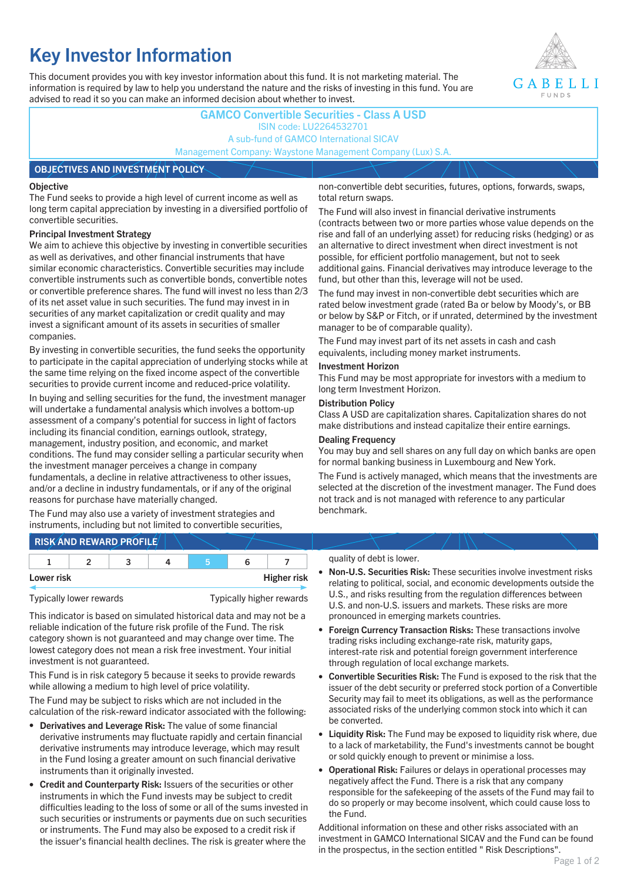# **Key Investor Information**

This document provides you with key investor information about this fund. It is not marketing material. The information is required by law to help you understand the nature and the risks of investing in this fund. You are advised to read it so you can make an informed decision about whether to invest.



### **GAMCO Convertible Securities - Class A USD** ISIN code: LU2264532701 A sub-fund of GAMCO International SICAV Management Company: Waystone Management Company (Lux) S.A.

#### **OBJECTIVES AND INVESTMENT POLICY**

#### **Objective**

The Fund seeks to provide a high level of current income as well as long term capital appreciation by investing in a diversified portfolio of convertible securities.

#### **Principal Investment Strategy**

We aim to achieve this objective by investing in convertible securities as well as derivatives, and other financial instruments that have similar economic characteristics. Convertible securities may include convertible instruments such as convertible bonds, convertible notes or convertible preference shares. The fund will invest no less than 2/3 of its net asset value in such securities. The fund may invest in in securities of any market capitalization or credit quality and may invest a significant amount of its assets in securities of smaller companies.

By investing in convertible securities, the fund seeks the opportunity to participate in the capital appreciation of underlying stocks while at the same time relying on the fixed income aspect of the convertible securities to provide current income and reduced-price volatility.

In buying and selling securities for the fund, the investment manager will undertake a fundamental analysis which involves a bottom-up assessment of a company's potential for success in light of factors including its financial condition, earnings outlook, strategy, management, industry position, and economic, and market conditions. The fund may consider selling a particular security when the investment manager perceives a change in company fundamentals, a decline in relative attractiveness to other issues, and/or a decline in industry fundamentals, or if any of the original reasons for purchase have materially changed.

The Fund may also use a variety of investment strategies and instruments, including but not limited to convertible securities, non-convertible debt securities, futures, options, forwards, swaps, total return swaps.

The Fund will also invest in financial derivative instruments (contracts between two or more parties whose value depends on the rise and fall of an underlying asset) for reducing risks (hedging) or as an alternative to direct investment when direct investment is not possible, for efficient portfolio management, but not to seek additional gains. Financial derivatives may introduce leverage to the fund, but other than this, leverage will not be used.

The fund may invest in non-convertible debt securities which are rated below investment grade (rated Ba or below by Moody's, or BB or below by S&P or Fitch, or if unrated, determined by the investment manager to be of comparable quality).

The Fund may invest part of its net assets in cash and cash equivalents, including money market instruments.

#### **Investment Horizon**

This Fund may be most appropriate for investors with a medium to long term Investment Horizon.

#### **Distribution Policy**

Class A USD are capitalization shares. Capitalization shares do not make distributions and instead capitalize their entire earnings.

#### **Dealing Frequency**

You may buy and sell shares on any full day on which banks are open for normal banking business in Luxembourg and New York.

The Fund is actively managed, which means that the investments are selected at the discretion of the investment manager. The Fund does not track and is not managed with reference to any particular benchmark.

## **RISK AND REWARD PROFILE**

|            |  | ∽ |  |                    |
|------------|--|---|--|--------------------|
| Lower risk |  |   |  | <b>Higher risk</b> |

Typically lower rewards Typically higher rewards

This indicator is based on simulated historical data and may not be a reliable indication of the future risk profile of the Fund. The risk category shown is not guaranteed and may change over time. The lowest category does not mean a risk free investment. Your initial investment is not guaranteed.

This Fund is in risk category 5 because it seeks to provide rewards while allowing a medium to high level of price volatility.

The Fund may be subject to risks which are not included in the calculation of the risk-reward indicator associated with the following:

- **Derivatives and Leverage Risk:** The value of some financial derivative instruments may fluctuate rapidly and certain financial derivative instruments may introduce leverage, which may result in the Fund losing a greater amount on such financial derivative instruments than it originally invested.
- **Credit and Counterparty Risk:** Issuers of the securities or other instruments in which the Fund invests may be subject to credit difficulties leading to the loss of some or all of the sums invested in such securities or instruments or payments due on such securities or instruments. The Fund may also be exposed to a credit risk if the issuer's financial health declines. The risk is greater where the

#### quality of debt is lower.

- **Non-U.S. Securities Risk:** These securities involve investment risks relating to political, social, and economic developments outside the U.S., and risks resulting from the regulation differences between U.S. and non-U.S. issuers and markets. These risks are more pronounced in emerging markets countries.
- **Foreign Currency Transaction Risks:** These transactions involve trading risks including exchange-rate risk, maturity gaps, interest-rate risk and potential foreign government interference through regulation of local exchange markets.
- **Convertible Securities Risk:** The Fund is exposed to the risk that the issuer of the debt security or preferred stock portion of a Convertible Security may fail to meet its obligations, as well as the performance associated risks of the underlying common stock into which it can be converted.
- **Liquidity Risk:** The Fund may be exposed to liquidity risk where, due to a lack of marketability, the Fund's investments cannot be bought or sold quickly enough to prevent or minimise a loss.
- **Operational Risk:** Failures or delays in operational processes may negatively affect the Fund. There is a risk that any company responsible for the safekeeping of the assets of the Fund may fail to do so properly or may become insolvent, which could cause loss to the Fund.

Additional information on these and other risks associated with an investment in GAMCO International SICAV and the Fund can be found in the prospectus, in the section entitled " Risk Descriptions".